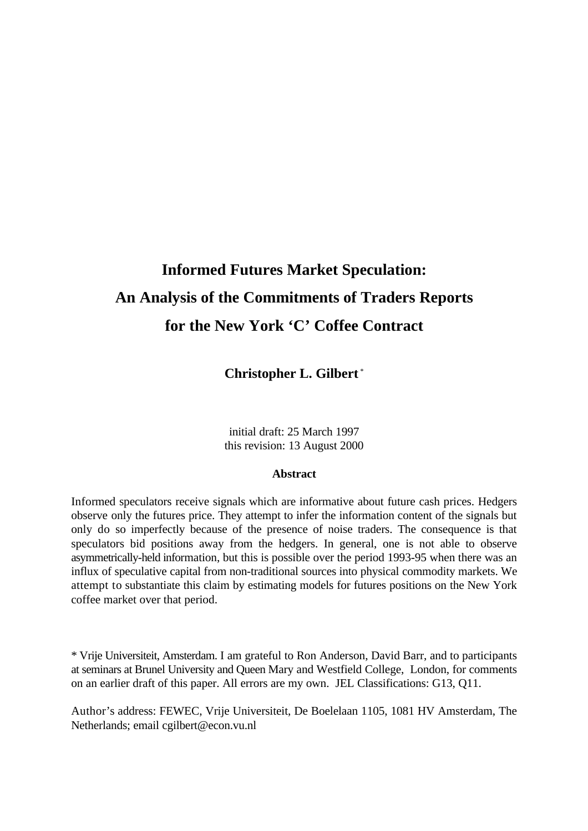# **Informed Futures Market Speculation: An Analysis of the Commitments of Traders Reports for the New York 'C' Coffee Contract**

**Christopher L. Gilbert** \*

initial draft: 25 March 1997 this revision: 13 August 2000

#### **Abstract**

Informed speculators receive signals which are informative about future cash prices. Hedgers observe only the futures price. They attempt to infer the information content of the signals but only do so imperfectly because of the presence of noise traders. The consequence is that speculators bid positions away from the hedgers. In general, one is not able to observe asymmetrically-held information, but this is possible over the period 1993-95 when there was an influx of speculative capital from non-traditional sources into physical commodity markets. We attempt to substantiate this claim by estimating models for futures positions on the New York coffee market over that period.

\* Vrije Universiteit, Amsterdam. I am grateful to Ron Anderson, David Barr, and to participants at seminars at Brunel University and Queen Mary and Westfield College, London, for comments on an earlier draft of this paper. All errors are my own. JEL Classifications: G13, Q11.

Author's address: FEWEC, Vrije Universiteit, De Boelelaan 1105, 1081 HV Amsterdam, The Netherlands; email cgilbert@econ.vu.nl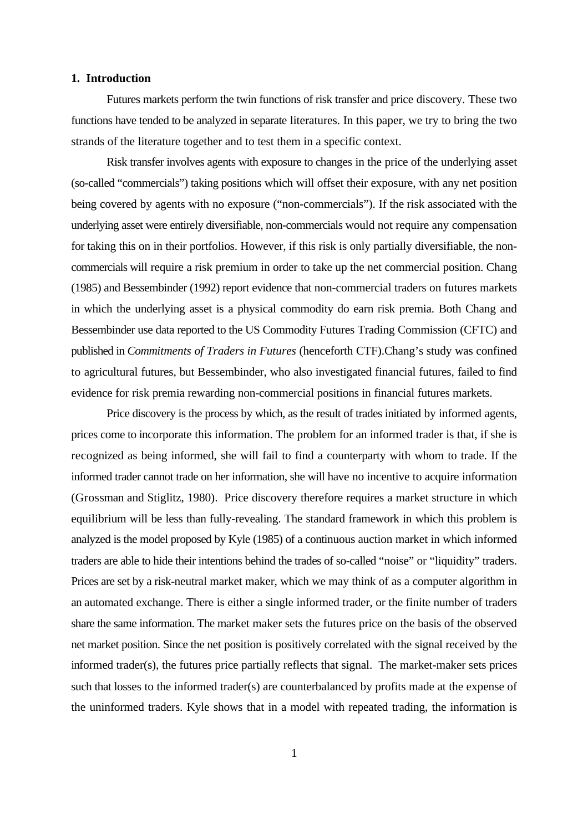#### **1. Introduction**

Futures markets perform the twin functions of risk transfer and price discovery. These two functions have tended to be analyzed in separate literatures. In this paper, we try to bring the two strands of the literature together and to test them in a specific context.

Risk transfer involves agents with exposure to changes in the price of the underlying asset (so-called "commercials") taking positions which will offset their exposure, with any net position being covered by agents with no exposure ("non-commercials"). If the risk associated with the underlying asset were entirely diversifiable, non-commercials would not require any compensation for taking this on in their portfolios. However, if this risk is only partially diversifiable, the noncommercials will require a risk premium in order to take up the net commercial position. Chang (1985) and Bessembinder (1992) report evidence that non-commercial traders on futures markets in which the underlying asset is a physical commodity do earn risk premia. Both Chang and Bessembinder use data reported to the US Commodity Futures Trading Commission (CFTC) and published in *Commitments of Traders in Futures* (henceforth CTF).Chang's study was confined to agricultural futures, but Bessembinder, who also investigated financial futures, failed to find evidence for risk premia rewarding non-commercial positions in financial futures markets.

Price discovery is the process by which, as the result of trades initiated by informed agents, prices come to incorporate this information. The problem for an informed trader is that, if she is recognized as being informed, she will fail to find a counterparty with whom to trade. If the informed trader cannot trade on her information, she will have no incentive to acquire information (Grossman and Stiglitz, 1980). Price discovery therefore requires a market structure in which equilibrium will be less than fully-revealing. The standard framework in which this problem is analyzed is the model proposed by Kyle (1985) of a continuous auction market in which informed traders are able to hide their intentions behind the trades of so-called "noise" or "liquidity" traders. Prices are set by a risk-neutral market maker, which we may think of as a computer algorithm in an automated exchange. There is either a single informed trader, or the finite number of traders share the same information. The market maker sets the futures price on the basis of the observed net market position. Since the net position is positively correlated with the signal received by the informed trader(s), the futures price partially reflects that signal. The market-maker sets prices such that losses to the informed trader(s) are counterbalanced by profits made at the expense of the uninformed traders. Kyle shows that in a model with repeated trading, the information is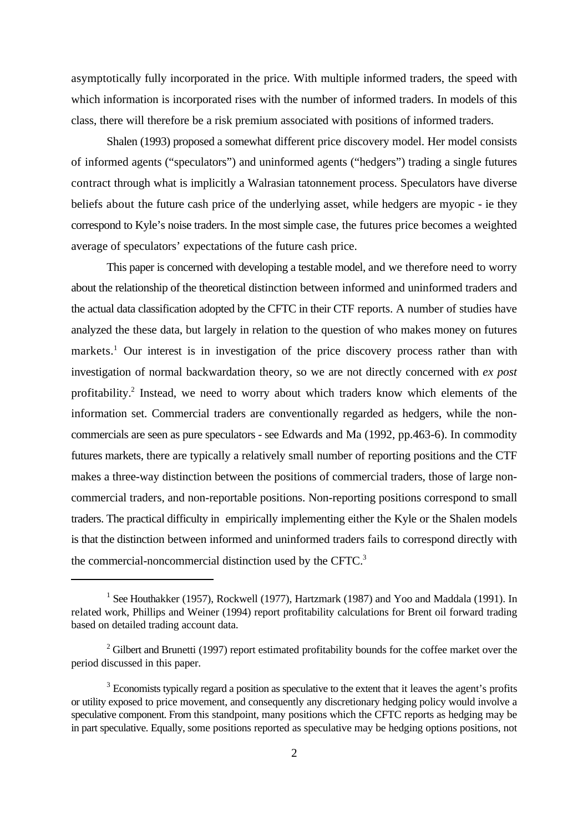asymptotically fully incorporated in the price. With multiple informed traders, the speed with which information is incorporated rises with the number of informed traders. In models of this class, there will therefore be a risk premium associated with positions of informed traders.

Shalen (1993) proposed a somewhat different price discovery model. Her model consists of informed agents ("speculators") and uninformed agents ("hedgers") trading a single futures contract through what is implicitly a Walrasian tatonnement process. Speculators have diverse beliefs about the future cash price of the underlying asset, while hedgers are myopic - ie they correspond to Kyle's noise traders. In the most simple case, the futures price becomes a weighted average of speculators' expectations of the future cash price.

This paper is concerned with developing a testable model, and we therefore need to worry about the relationship of the theoretical distinction between informed and uninformed traders and the actual data classification adopted by the CFTC in their CTF reports. A number of studies have analyzed the these data, but largely in relation to the question of who makes money on futures markets.<sup>1</sup> Our interest is in investigation of the price discovery process rather than with investigation of normal backwardation theory, so we are not directly concerned with *ex post* profitability.<sup>2</sup> Instead, we need to worry about which traders know which elements of the information set. Commercial traders are conventionally regarded as hedgers, while the noncommercials are seen as pure speculators - see Edwards and Ma (1992, pp.463-6). In commodity futures markets, there are typically a relatively small number of reporting positions and the CTF makes a three-way distinction between the positions of commercial traders, those of large noncommercial traders, and non-reportable positions. Non-reporting positions correspond to small traders. The practical difficulty in empirically implementing either the Kyle or the Shalen models is that the distinction between informed and uninformed traders fails to correspond directly with the commercial-noncommercial distinction used by the CFTC.<sup>3</sup>

<sup>&</sup>lt;sup>1</sup> See Houthakker (1957), Rockwell (1977), Hartzmark (1987) and Yoo and Maddala (1991). In related work, Phillips and Weiner (1994) report profitability calculations for Brent oil forward trading based on detailed trading account data.

 $2$  Gilbert and Brunetti (1997) report estimated profitability bounds for the coffee market over the period discussed in this paper.

 $3$  Economists typically regard a position as speculative to the extent that it leaves the agent's profits or utility exposed to price movement, and consequently any discretionary hedging policy would involve a speculative component. From this standpoint, many positions which the CFTC reports as hedging may be in part speculative. Equally, some positions reported as speculative may be hedging options positions, not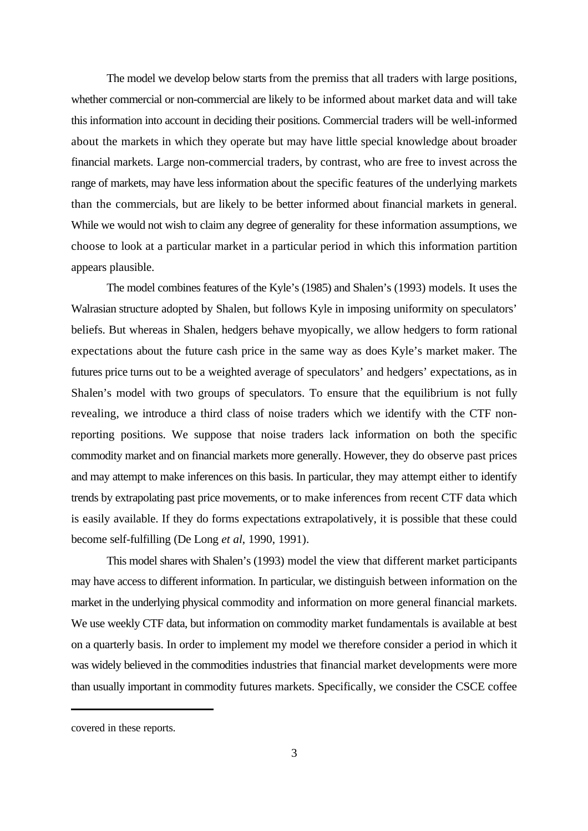The model we develop below starts from the premiss that all traders with large positions, whether commercial or non-commercial are likely to be informed about market data and will take this information into account in deciding their positions. Commercial traders will be well-informed about the markets in which they operate but may have little special knowledge about broader financial markets. Large non-commercial traders, by contrast, who are free to invest across the range of markets, may have less information about the specific features of the underlying markets than the commercials, but are likely to be better informed about financial markets in general. While we would not wish to claim any degree of generality for these information assumptions, we choose to look at a particular market in a particular period in which this information partition appears plausible.

The model combines features of the Kyle's (1985) and Shalen's (1993) models. It uses the Walrasian structure adopted by Shalen, but follows Kyle in imposing uniformity on speculators' beliefs. But whereas in Shalen, hedgers behave myopically, we allow hedgers to form rational expectations about the future cash price in the same way as does Kyle's market maker. The futures price turns out to be a weighted average of speculators' and hedgers' expectations, as in Shalen's model with two groups of speculators. To ensure that the equilibrium is not fully revealing, we introduce a third class of noise traders which we identify with the CTF nonreporting positions. We suppose that noise traders lack information on both the specific commodity market and on financial markets more generally. However, they do observe past prices and may attempt to make inferences on this basis. In particular, they may attempt either to identify trends by extrapolating past price movements, or to make inferences from recent CTF data which is easily available. If they do forms expectations extrapolatively, it is possible that these could become self-fulfilling (De Long *et al*, 1990, 1991).

This model shares with Shalen's (1993) model the view that different market participants may have access to different information. In particular, we distinguish between information on the market in the underlying physical commodity and information on more general financial markets. We use weekly CTF data, but information on commodity market fundamentals is available at best on a quarterly basis. In order to implement my model we therefore consider a period in which it was widely believed in the commodities industries that financial market developments were more than usually important in commodity futures markets. Specifically, we consider the CSCE coffee

covered in these reports.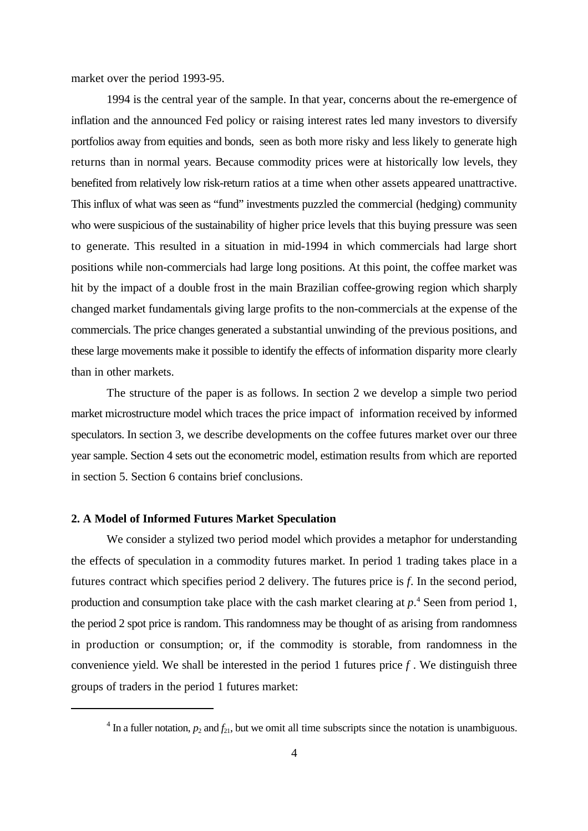market over the period 1993-95.

1994 is the central year of the sample. In that year, concerns about the re-emergence of inflation and the announced Fed policy or raising interest rates led many investors to diversify portfolios away from equities and bonds, seen as both more risky and less likely to generate high returns than in normal years. Because commodity prices were at historically low levels, they benefited from relatively low risk-return ratios at a time when other assets appeared unattractive. This influx of what was seen as "fund" investments puzzled the commercial (hedging) community who were suspicious of the sustainability of higher price levels that this buying pressure was seen to generate. This resulted in a situation in mid-1994 in which commercials had large short positions while non-commercials had large long positions. At this point, the coffee market was hit by the impact of a double frost in the main Brazilian coffee-growing region which sharply changed market fundamentals giving large profits to the non-commercials at the expense of the commercials. The price changes generated a substantial unwinding of the previous positions, and these large movements make it possible to identify the effects of information disparity more clearly than in other markets.

The structure of the paper is as follows. In section 2 we develop a simple two period market microstructure model which traces the price impact of information received by informed speculators. In section 3, we describe developments on the coffee futures market over our three year sample. Section 4 sets out the econometric model, estimation results from which are reported in section 5. Section 6 contains brief conclusions.

# **2. A Model of Informed Futures Market Speculation**

We consider a stylized two period model which provides a metaphor for understanding the effects of speculation in a commodity futures market. In period 1 trading takes place in a futures contract which specifies period 2 delivery. The futures price is *f*. In the second period, production and consumption take place with the cash market clearing at  $p^4$ . Seen from period 1, the period 2 spot price is random. This randomness may be thought of as arising from randomness in production or consumption; or, if the commodity is storable, from randomness in the convenience yield. We shall be interested in the period 1 futures price *f* . We distinguish three groups of traders in the period 1 futures market:

<sup>&</sup>lt;sup>4</sup> In a fuller notation,  $p_2$  and  $f_{21}$ , but we omit all time subscripts since the notation is unambiguous.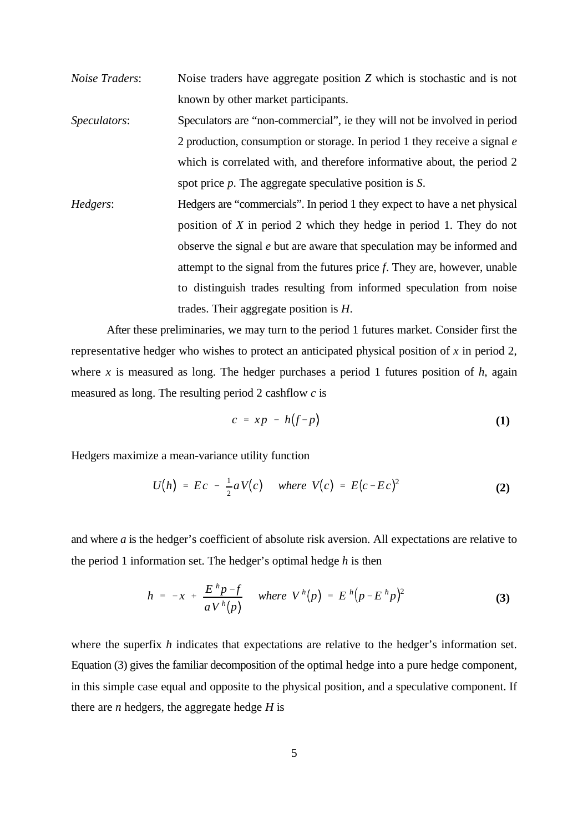- *Noise Traders*: Noise traders have aggregate position *Z* which is stochastic and is not known by other market participants.
- *Speculators*: Speculators are "non-commercial", ie they will not be involved in period 2 production, consumption or storage. In period 1 they receive a signal *e* which is correlated with, and therefore informative about, the period 2 spot price *p*. The aggregate speculative position is *S*.
- *Hedgers*: Hedgers are "commercials". In period 1 they expect to have a net physical position of *X* in period 2 which they hedge in period 1. They do not observe the signal *e* but are aware that speculation may be informed and attempt to the signal from the futures price *f*. They are, however, unable to distinguish trades resulting from informed speculation from noise trades. Their aggregate position is *H*.

After these preliminaries, we may turn to the period 1 futures market. Consider first the representative hedger who wishes to protect an anticipated physical position of *x* in period 2, where *x* is measured as long. The hedger purchases a period 1 futures position of  $h$ , again measured as long. The resulting period 2 cashflow *c* is

$$
c = xp - h(f-p) \tag{1}
$$

Hedgers maximize a mean-variance utility function

$$
U(h) = Ec - \frac{1}{2} a V(c) \quad \text{where } V(c) = E(c - Ec)^2 \tag{2}
$$

and where *a* is the hedger's coefficient of absolute risk aversion. All expectations are relative to the period 1 information set. The hedger's optimal hedge *h* is then

$$
h = -x + \frac{E^h p - f}{a V^h(p)} \quad \text{where} \quad V^h(p) = E^h (p - E^h p)^2 \tag{3}
$$

where the superfix *h* indicates that expectations are relative to the hedger's information set. Equation (3) gives the familiar decomposition of the optimal hedge into a pure hedge component, in this simple case equal and opposite to the physical position, and a speculative component. If there are *n* hedgers, the aggregate hedge *H* is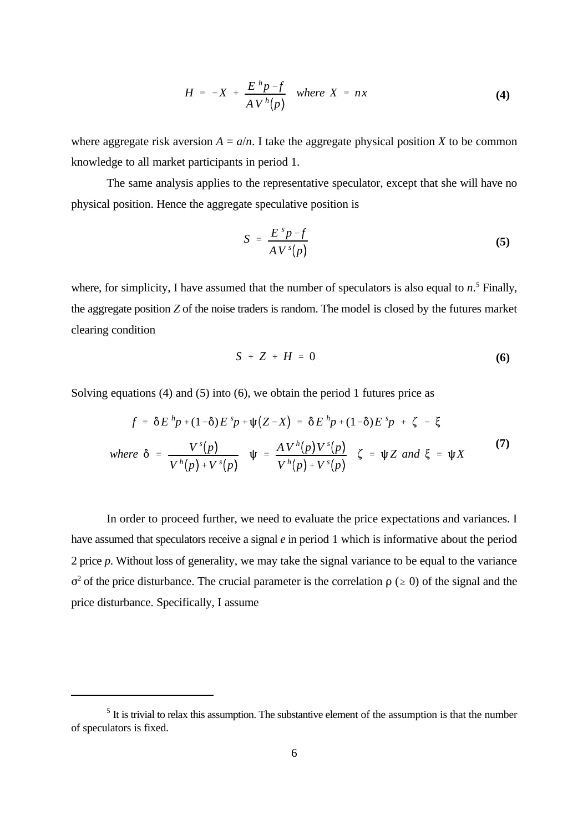$$
H = -X + \frac{E^h p - f}{A V^h(p)}
$$
 where  $X = nx$  (4)

where aggregate risk aversion  $A = a/n$ . I take the aggregate physical position *X* to be common knowledge to all market participants in period 1.

The same analysis applies to the representative speculator, except that she will have no physical position. Hence the aggregate speculative position is

$$
S = \frac{E^s p - f}{A V^s(p)} \tag{5}
$$

where, for simplicity, I have assumed that the number of speculators is also equal to  $n<sup>5</sup>$  Finally, the aggregate position *Z* of the noise traders is random. The model is closed by the futures market clearing condition

$$
S + Z + H = 0 \tag{6}
$$

Solving equations (4) and (5) into (6), we obtain the period 1 futures price as

$$
f = \delta E^h p + (1 - \delta) E^s p + \psi (Z - X) = \delta E^h p + (1 - \delta) E^s p + \zeta - \xi
$$
  
where  $\delta = \frac{V^s(p)}{V^h(p) + V^s(p)} \psi = \frac{A V^h(p) V^s(p)}{V^h(p) + V^s(p)} \zeta = \psi Z \text{ and } \xi = \psi X$  (7)

In order to proceed further, we need to evaluate the price expectations and variances. I have assumed that speculators receive a signal *e* in period 1 which is informative about the period 2 price *p*. Without loss of generality, we may take the signal variance to be equal to the variance  $\sigma^2$  of the price disturbance. The crucial parameter is the correlation  $\rho$  ( $\geq$  0) of the signal and the price disturbance. Specifically, I assume

 $<sup>5</sup>$  It is trivial to relax this assumption. The substantive element of the assumption is that the number</sup> of speculators is fixed.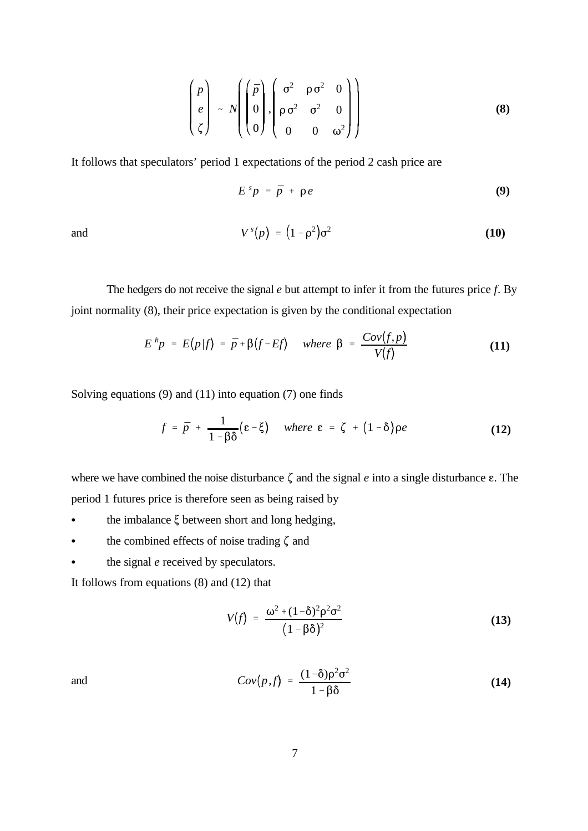$$
\begin{pmatrix} p \\ e \\ \zeta \end{pmatrix} \sim N \left( \begin{pmatrix} \bar{p} \\ 0 \\ 0 \end{pmatrix}, \begin{pmatrix} \sigma^2 & \rho \sigma^2 & 0 \\ \rho \sigma^2 & \sigma^2 & 0 \\ 0 & 0 & \omega^2 \end{pmatrix} \right)
$$
 (8)

It follows that speculators' period 1 expectations of the period 2 cash price are

$$
E^s p = \bar{p} + \rho e \tag{9}
$$

and 
$$
V^{s}(p) = (1 - \rho^{2})\sigma^{2}
$$
 (10)

The hedgers do not receive the signal *e* but attempt to infer it from the futures price *f*. By joint normality (8), their price expectation is given by the conditional expectation

$$
E^h p = E(p|f) = \bar{p} + \beta(f - Ef) \quad \text{where } \beta = \frac{Cov(f, p)}{V(f)} \tag{11}
$$

Solving equations (9) and (11) into equation (7) one finds

$$
f = \bar{p} + \frac{1}{1 - \beta \delta} (\varepsilon - \xi) \quad \text{where } \varepsilon = \zeta + (1 - \delta) \rho e \qquad (12)
$$

where we have combined the noise disturbance  $\zeta$  and the signal  $e$  into a single disturbance  $\varepsilon$ . The period 1 futures price is therefore seen as being raised by

- $\cdot$  the imbalance  $\xi$  between short and long hedging,
- $\cdot$  the combined effects of noise trading  $\zeta$  and
- $\bullet$  the signal *e* received by speculators.

It follows from equations (8) and (12) that

$$
V(f) = \frac{\omega^2 + (1-\delta)^2 \rho^2 \sigma^2}{(1-\beta\delta)^2}
$$
 (13)

and 
$$
Cov(p,f) = \frac{(1-\delta)\rho^2 \sigma^2}{1-\beta\delta}
$$
 (14)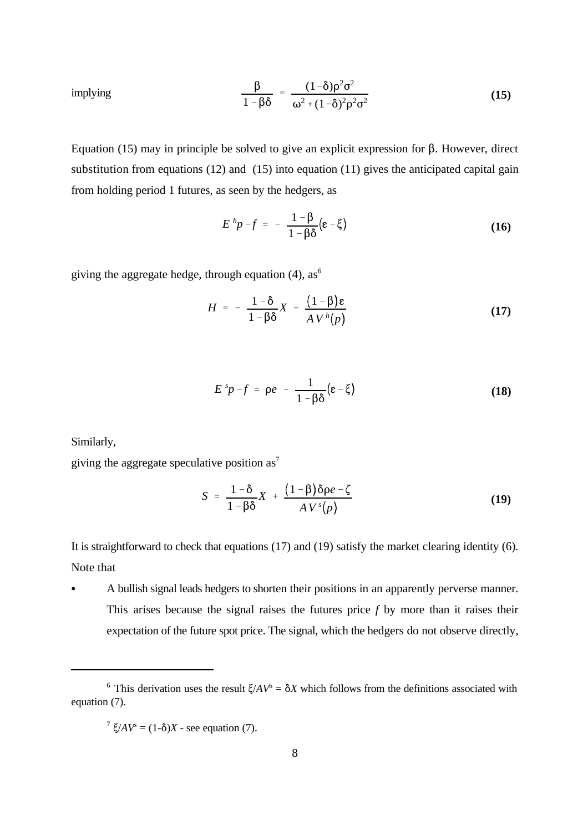implying 
$$
\frac{\beta}{1-\beta\delta} = \frac{(1-\delta)\rho^2\sigma^2}{\omega^2+(1-\delta)^2\rho^2\sigma^2}
$$
 (15)

Equation (15) may in principle be solved to give an explicit expression for  $\beta$ . However, direct substitution from equations (12) and (15) into equation (11) gives the anticipated capital gain from holding period 1 futures, as seen by the hedgers, as

$$
E^h p - f = -\frac{1-\beta}{1-\beta\delta} (\varepsilon - \xi) \tag{16}
$$

giving the aggregate hedge, through equation (4),  $as<sup>6</sup>$ 

$$
H = -\frac{1-\delta}{1-\beta\delta}X - \frac{(1-\beta)\varepsilon}{A V^h(p)}
$$
(17)

$$
E^{s}p-f = \rho e - \frac{1}{1-\beta\delta}(\varepsilon-\xi)
$$
 (18)

Similarly,

giving the aggregate speculative position  $as^7$ 

$$
S = \frac{1-\delta}{1-\beta\delta}X + \frac{(1-\beta)\delta\rho e - \zeta}{A V^{s}(p)}
$$
(19)

It is straightforward to check that equations (17) and (19) satisfy the market clearing identity (6). Note that

C A bullish signal leads hedgers to shorten their positions in an apparently perverse manner. This arises because the signal raises the futures price *f* by more than it raises their expectation of the future spot price. The signal, which the hedgers do not observe directly,

<sup>&</sup>lt;sup>6</sup> This derivation uses the result  $\zeta/AV^h = \delta X$  which follows from the definitions associated with equation (7).

 $^{7} \xi / AV^{s} = (1-\delta)X$  - see equation (7).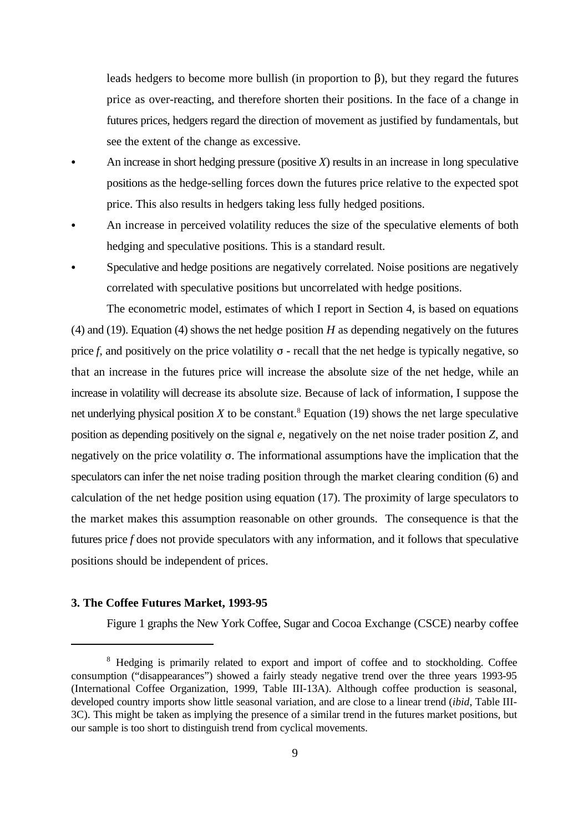leads hedgers to become more bullish (in proportion to  $\beta$ ), but they regard the futures price as over-reacting, and therefore shorten their positions. In the face of a change in futures prices, hedgers regard the direction of movement as justified by fundamentals, but see the extent of the change as excessive.

- An increase in short hedging pressure (positive  $X$ ) results in an increase in long speculative positions as the hedge-selling forces down the futures price relative to the expected spot price. This also results in hedgers taking less fully hedged positions.
- An increase in perceived volatility reduces the size of the speculative elements of both hedging and speculative positions. This is a standard result.
- Speculative and hedge positions are negatively correlated. Noise positions are negatively correlated with speculative positions but uncorrelated with hedge positions.

The econometric model, estimates of which I report in Section 4, is based on equations (4) and (19). Equation (4) shows the net hedge position *H* as depending negatively on the futures price  $f$ , and positively on the price volatility  $\sigma$  - recall that the net hedge is typically negative, so that an increase in the futures price will increase the absolute size of the net hedge, while an increase in volatility will decrease its absolute size. Because of lack of information, I suppose the net underlying physical position  $X$  to be constant.<sup>8</sup> Equation (19) shows the net large speculative position as depending positively on the signal *e*, negatively on the net noise trader position *Z*, and negatively on the price volatility  $\sigma$ . The informational assumptions have the implication that the speculators can infer the net noise trading position through the market clearing condition (6) and calculation of the net hedge position using equation (17). The proximity of large speculators to the market makes this assumption reasonable on other grounds. The consequence is that the futures price *f* does not provide speculators with any information, and it follows that speculative positions should be independent of prices.

## **3. The Coffee Futures Market, 1993-95**

Figure 1 graphs the New York Coffee, Sugar and Cocoa Exchange (CSCE) nearby coffee

<sup>&</sup>lt;sup>8</sup> Hedging is primarily related to export and import of coffee and to stockholding. Coffee consumption ("disappearances") showed a fairly steady negative trend over the three years 1993-95 (International Coffee Organization, 1999, Table III-13A). Although coffee production is seasonal, developed country imports show little seasonal variation, and are close to a linear trend (*ibid*, Table III-3C). This might be taken as implying the presence of a similar trend in the futures market positions, but our sample is too short to distinguish trend from cyclical movements.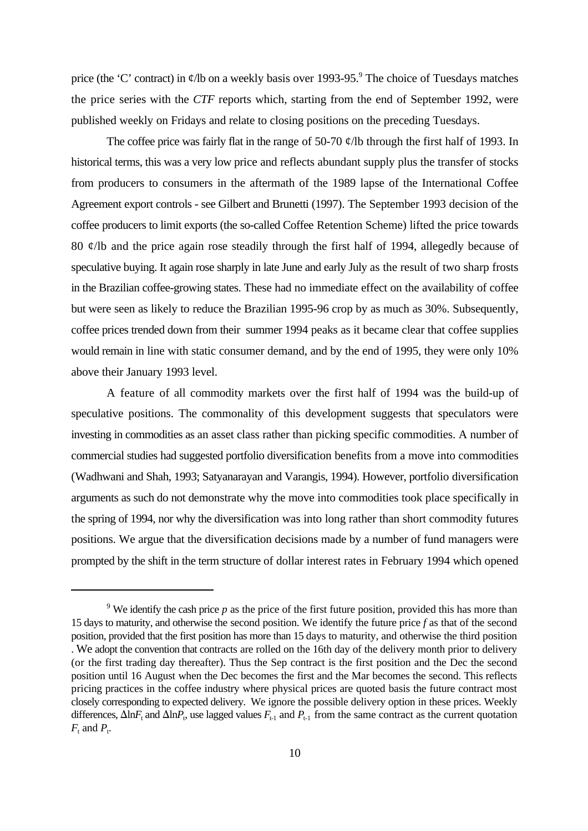price (the 'C' contract) in  $\phi$ /lb on a weekly basis over 1993-95.<sup>9</sup> The choice of Tuesdays matches the price series with the *CTF* reports which, starting from the end of September 1992, were published weekly on Fridays and relate to closing positions on the preceding Tuesdays.

The coffee price was fairly flat in the range of 50-70  $\ell$ /lb through the first half of 1993. In historical terms, this was a very low price and reflects abundant supply plus the transfer of stocks from producers to consumers in the aftermath of the 1989 lapse of the International Coffee Agreement export controls - see Gilbert and Brunetti (1997). The September 1993 decision of the coffee producers to limit exports (the so-called Coffee Retention Scheme) lifted the price towards 80 ¢/lb and the price again rose steadily through the first half of 1994, allegedly because of speculative buying. It again rose sharply in late June and early July as the result of two sharp frosts in the Brazilian coffee-growing states. These had no immediate effect on the availability of coffee but were seen as likely to reduce the Brazilian 1995-96 crop by as much as 30%. Subsequently, coffee prices trended down from their summer 1994 peaks as it became clear that coffee supplies would remain in line with static consumer demand, and by the end of 1995, they were only 10% above their January 1993 level.

A feature of all commodity markets over the first half of 1994 was the build-up of speculative positions. The commonality of this development suggests that speculators were investing in commodities as an asset class rather than picking specific commodities. A number of commercial studies had suggested portfolio diversification benefits from a move into commodities (Wadhwani and Shah, 1993; Satyanarayan and Varangis, 1994). However, portfolio diversification arguments as such do not demonstrate why the move into commodities took place specifically in the spring of 1994, nor why the diversification was into long rather than short commodity futures positions. We argue that the diversification decisions made by a number of fund managers were prompted by the shift in the term structure of dollar interest rates in February 1994 which opened

<sup>&</sup>lt;sup>9</sup> We identify the cash price  $p$  as the price of the first future position, provided this has more than 15 days to maturity, and otherwise the second position. We identify the future price *f* as that of the second position, provided that the first position has more than 15 days to maturity, and otherwise the third position . We adopt the convention that contracts are rolled on the 16th day of the delivery month prior to delivery (or the first trading day thereafter). Thus the Sep contract is the first position and the Dec the second position until 16 August when the Dec becomes the first and the Mar becomes the second. This reflects pricing practices in the coffee industry where physical prices are quoted basis the future contract most closely corresponding to expected delivery. We ignore the possible delivery option in these prices. Weekly differences,  $\Delta \ln F_t$  and  $\Delta \ln P_t$ , use lagged values  $F_{t-1}$  and  $P_{t-1}$  from the same contract as the current quotation  $F_t$  and  $P_t$ .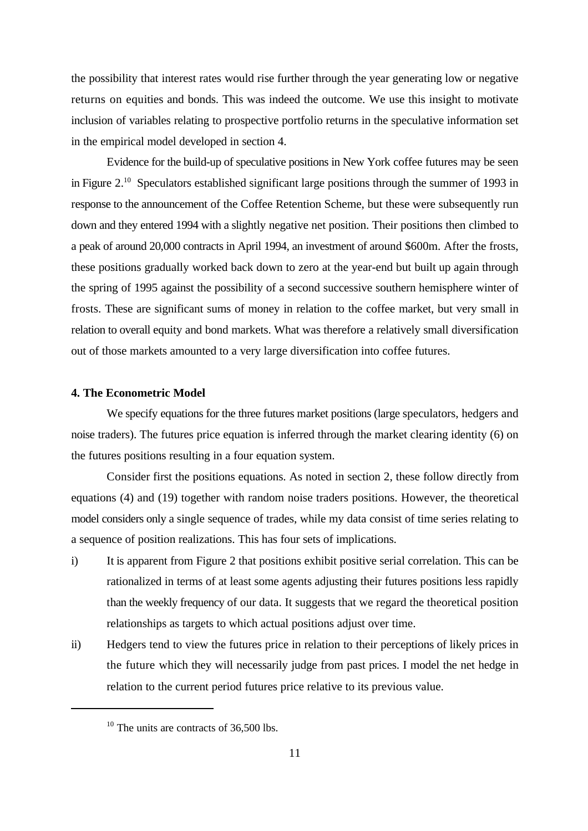the possibility that interest rates would rise further through the year generating low or negative returns on equities and bonds. This was indeed the outcome. We use this insight to motivate inclusion of variables relating to prospective portfolio returns in the speculative information set in the empirical model developed in section 4.

Evidence for the build-up of speculative positions in New York coffee futures may be seen in Figure 2.<sup>10</sup> Speculators established significant large positions through the summer of 1993 in response to the announcement of the Coffee Retention Scheme, but these were subsequently run down and they entered 1994 with a slightly negative net position. Their positions then climbed to a peak of around 20,000 contracts in April 1994, an investment of around \$600m. After the frosts, these positions gradually worked back down to zero at the year-end but built up again through the spring of 1995 against the possibility of a second successive southern hemisphere winter of frosts. These are significant sums of money in relation to the coffee market, but very small in relation to overall equity and bond markets. What was therefore a relatively small diversification out of those markets amounted to a very large diversification into coffee futures.

#### **4. The Econometric Model**

We specify equations for the three futures market positions (large speculators, hedgers and noise traders). The futures price equation is inferred through the market clearing identity (6) on the futures positions resulting in a four equation system.

Consider first the positions equations. As noted in section 2, these follow directly from equations (4) and (19) together with random noise traders positions. However, the theoretical model considers only a single sequence of trades, while my data consist of time series relating to a sequence of position realizations. This has four sets of implications.

- i) It is apparent from Figure 2 that positions exhibit positive serial correlation. This can be rationalized in terms of at least some agents adjusting their futures positions less rapidly than the weekly frequency of our data. It suggests that we regard the theoretical position relationships as targets to which actual positions adjust over time.
- ii) Hedgers tend to view the futures price in relation to their perceptions of likely prices in the future which they will necessarily judge from past prices. I model the net hedge in relation to the current period futures price relative to its previous value.

 $10$  The units are contracts of 36,500 lbs.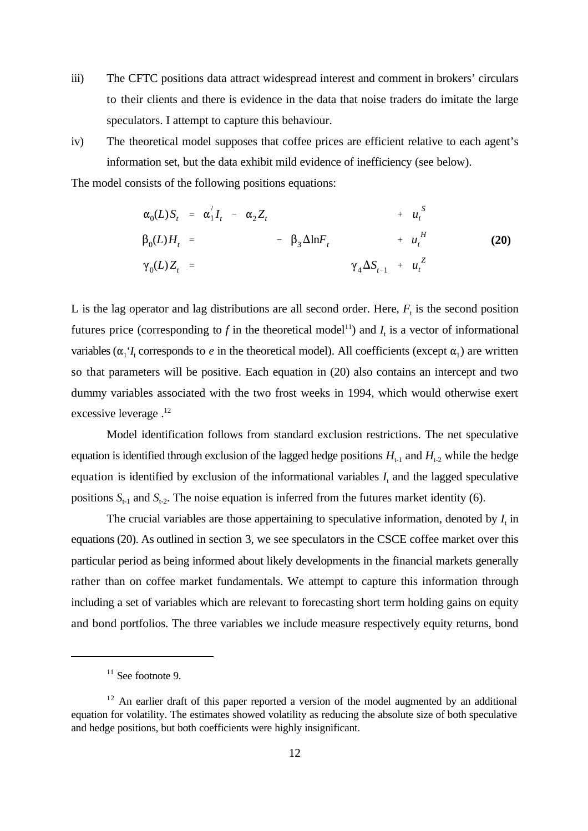- iii) The CFTC positions data attract widespread interest and comment in brokers' circulars to their clients and there is evidence in the data that noise traders do imitate the large speculators. I attempt to capture this behaviour.
- iv) The theoretical model supposes that coffee prices are efficient relative to each agent's information set, but the data exhibit mild evidence of inefficiency (see below).

The model consists of the following positions equations:

$$
\alpha_0(L)S_t = \alpha'_1 I_t - \alpha_2 Z_t + u_t^S
$$
  
\n
$$
\beta_0(L)H_t = -\beta_3 \Delta \ln F_t + u_t^H
$$
  
\n
$$
\gamma_0(L)Z_t = \gamma_4 \Delta S_{t-1} + u_t^Z
$$
\n(20)

L is the lag operator and lag distributions are all second order. Here,  $F_t$  is the second position futures price (corresponding to  $f$  in the theoretical model<sup>11</sup>) and  $I_t$  is a vector of informational variables ( $\alpha_1$ ' $I_t$  corresponds to *e* in the theoretical model). All coefficients (except  $\alpha_1$ ) are written so that parameters will be positive. Each equation in (20) also contains an intercept and two dummy variables associated with the two frost weeks in 1994, which would otherwise exert excessive leverage .<sup>12</sup>

Model identification follows from standard exclusion restrictions. The net speculative equation is identified through exclusion of the lagged hedge positions  $H_{t-1}$  and  $H_{t-2}$  while the hedge equation is identified by exclusion of the informational variables  $I_t$  and the lagged speculative positions  $S_{t-1}$  and  $S_{t-2}$ . The noise equation is inferred from the futures market identity (6).

The crucial variables are those appertaining to speculative information, denoted by  $I_t$  in equations (20). As outlined in section 3, we see speculators in the CSCE coffee market over this particular period as being informed about likely developments in the financial markets generally rather than on coffee market fundamentals. We attempt to capture this information through including a set of variables which are relevant to forecasting short term holding gains on equity and bond portfolios. The three variables we include measure respectively equity returns, bond

 $11$  See footnote 9.

 $12$  An earlier draft of this paper reported a version of the model augmented by an additional equation for volatility. The estimates showed volatility as reducing the absolute size of both speculative and hedge positions, but both coefficients were highly insignificant.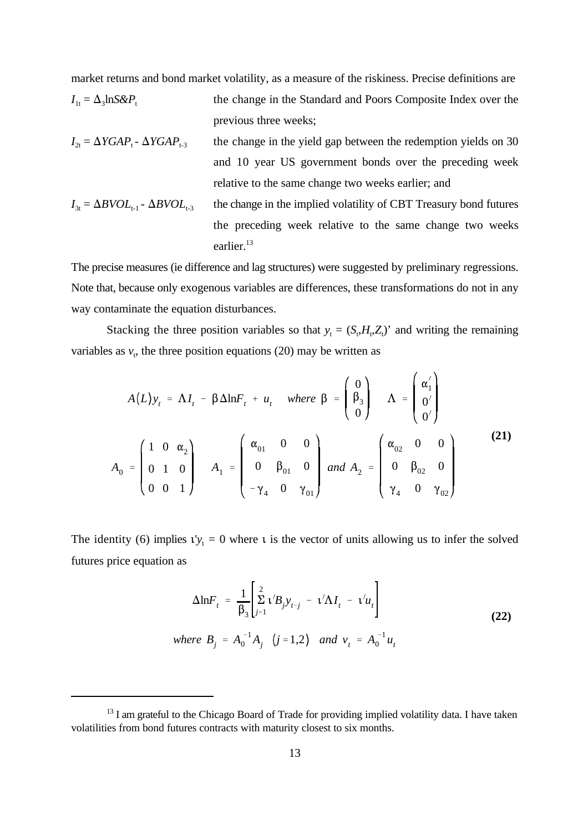market returns and bond market volatility, as a measure of the riskiness. Precise definitions are

- $I_{1t} = \Delta_3 \text{lnS} \& P_t$ the change in the Standard and Poors Composite Index over the previous three weeks;
- $I_{2t} = \Delta YGAP_{t}$   $\Delta YGAP_{t-3}$  the change in the yield gap between the redemption yields on 30 and 10 year US government bonds over the preceding week relative to the same change two weeks earlier; and
- $I_{3t} = \Delta BVOL_{t-1}$   $\Delta BVOL_{t-3}$  the change in the implied volatility of CBT Treasury bond futures the preceding week relative to the same change two weeks earlier.<sup>13</sup>

The precise measures (ie difference and lag structures) were suggested by preliminary regressions. Note that, because only exogenous variables are differences, these transformations do not in any way contaminate the equation disturbances.

Stacking the three position variables so that  $y_t = (S_t, H_t, Z_t)$  and writing the remaining variables as  $v_t$ , the three position equations (20) may be written as

$$
A(L)y_t = \Lambda I_t - \beta \Delta \ln F_t + u_t \quad \text{where } \beta = \begin{pmatrix} 0 \\ \beta_3 \\ 0 \end{pmatrix} \quad \Lambda = \begin{pmatrix} \alpha'_1 \\ 0' \\ 0' \end{pmatrix}
$$

$$
A_0 = \begin{pmatrix} 1 & 0 & \alpha_2 \\ 0 & 1 & 0 \\ 0 & 0 & 1 \end{pmatrix} \quad A_1 = \begin{pmatrix} \alpha_{01} & 0 & 0 \\ 0 & \beta_{01} & 0 \\ -\gamma_4 & 0 & \gamma_{01} \end{pmatrix} \quad \text{and } A_2 = \begin{pmatrix} \alpha_{02} & 0 & 0 \\ 0 & \beta_{02} & 0 \\ \gamma_4 & 0 & \gamma_{02} \end{pmatrix}
$$
 (21)

The identity (6) implies  $v_{y_t} = 0$  where  $\iota$  is the vector of units allowing us to infer the solved futures price equation as

$$
\Delta \ln F_t = \frac{1}{\beta_3} \left[ \sum_{j=1}^2 \nu' B_j y_{t-j} - \nu' \Lambda I_t - \nu' u_t \right]
$$
  
where  $B_j = A_0^{-1} A_j$   $(j = 1, 2)$  and  $v_t = A_0^{-1} u_t$  (22)

 $13$  I am grateful to the Chicago Board of Trade for providing implied volatility data. I have taken volatilities from bond futures contracts with maturity closest to six months.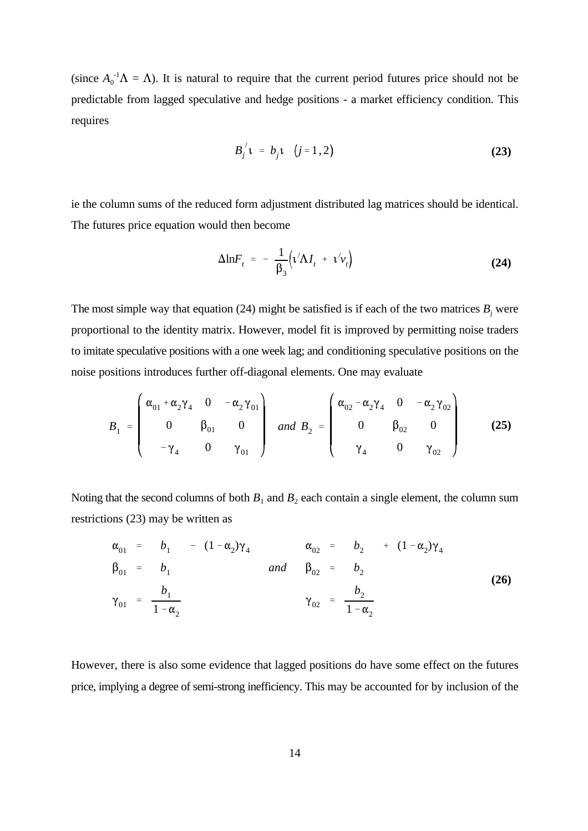(since  $A_0^{-1}\Lambda = \Lambda$ ). It is natural to require that the current period futures price should not be predictable from lagged speculative and hedge positions - a market efficiency condition. This requires

$$
B_j' \mathbf{1} = b_j \mathbf{1} \quad (j = 1, 2)
$$
 (23)

ie the column sums of the reduced form adjustment distributed lag matrices should be identical. The futures price equation would then become

$$
\Delta \ln F_t = -\frac{1}{\beta_3} \Big( \nu' \Delta I_t + \nu' v_t \Big)
$$
 (24)

The most simple way that equation  $(24)$  might be satisfied is if each of the two matrices  $B_j$  were proportional to the identity matrix. However, model fit is improved by permitting noise traders to imitate speculative positions with a one week lag; and conditioning speculative positions on the noise positions introduces further off-diagonal elements. One may evaluate

$$
B_1 = \begin{pmatrix} \alpha_{01} + \alpha_2 \gamma_4 & 0 & -\alpha_2 \gamma_{01} \\ 0 & \beta_{01} & 0 \\ -\gamma_4 & 0 & \gamma_{01} \end{pmatrix} \text{ and } B_2 = \begin{pmatrix} \alpha_{02} - \alpha_2 \gamma_4 & 0 & -\alpha_2 \gamma_{02} \\ 0 & \beta_{02} & 0 \\ \gamma_4 & 0 & \gamma_{02} \end{pmatrix}
$$
 (25)

Noting that the second columns of both  $B_1$  and  $B_2$  each contain a single element, the column sum restrictions (23) may be written as

$$
\alpha_{01} = b_1 - (1 - \alpha_2)\gamma_4 \qquad \alpha_{02} = b_2 + (1 - \alpha_2)\gamma_4
$$
  
\n
$$
\beta_{01} = b_1 \qquad \text{and} \qquad \beta_{02} = b_2
$$
  
\n
$$
\gamma_{01} = \frac{b_1}{1 - \alpha_2} \qquad \gamma_{02} = \frac{b_2}{1 - \alpha_2}
$$
 (26)

However, there is also some evidence that lagged positions do have some effect on the futures price, implying a degree of semi-strong inefficiency. This may be accounted for by inclusion of the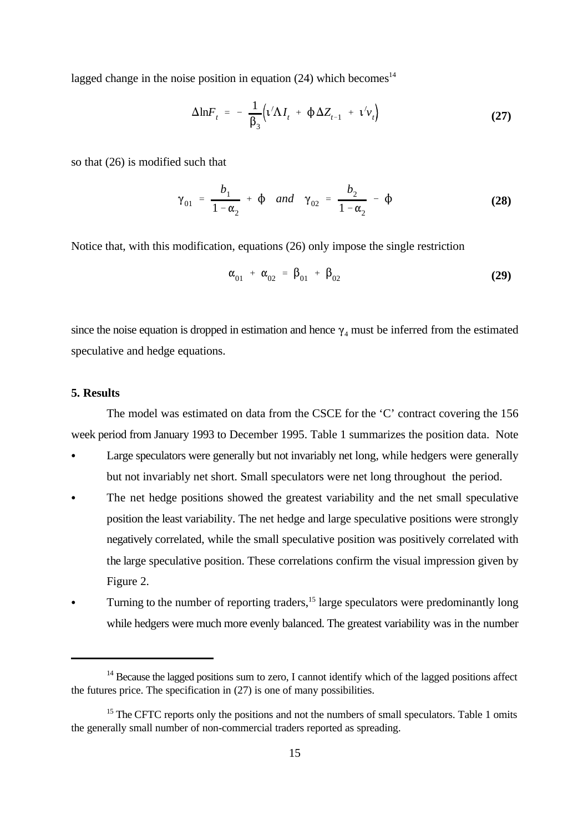lagged change in the noise position in equation  $(24)$  which becomes<sup>14</sup>

$$
\Delta \ln F_t = -\frac{1}{\beta_3} \Big( \mathbf{t}' \Delta I_t + \Phi \Delta Z_{t-1} + \mathbf{t}' v_t \Big) \tag{27}
$$

so that (26) is modified such that

$$
\gamma_{01} = \frac{b_1}{1 - \alpha_2} + \phi \quad \text{and} \quad \gamma_{02} = \frac{b_2}{1 - \alpha_2} - \phi
$$
 (28)

Notice that, with this modification, equations (26) only impose the single restriction

$$
\alpha_{01} + \alpha_{02} = \beta_{01} + \beta_{02} \tag{29}
$$

since the noise equation is dropped in estimation and hence  $\gamma_4$  must be inferred from the estimated speculative and hedge equations.

#### **5. Results**

The model was estimated on data from the CSCE for the 'C' contract covering the 156 week period from January 1993 to December 1995. Table 1 summarizes the position data. Note

- Large speculators were generally but not invariably net long, while hedgers were generally but not invariably net short. Small speculators were net long throughout the period.
- The net hedge positions showed the greatest variability and the net small speculative position the least variability. The net hedge and large speculative positions were strongly negatively correlated, while the small speculative position was positively correlated with the large speculative position. These correlations confirm the visual impression given by Figure 2.
- Turning to the number of reporting traders,  $15$  large speculators were predominantly long while hedgers were much more evenly balanced. The greatest variability was in the number

 $14$  Because the lagged positions sum to zero, I cannot identify which of the lagged positions affect the futures price. The specification in (27) is one of many possibilities.

 $15$  The CFTC reports only the positions and not the numbers of small speculators. Table 1 omits the generally small number of non-commercial traders reported as spreading.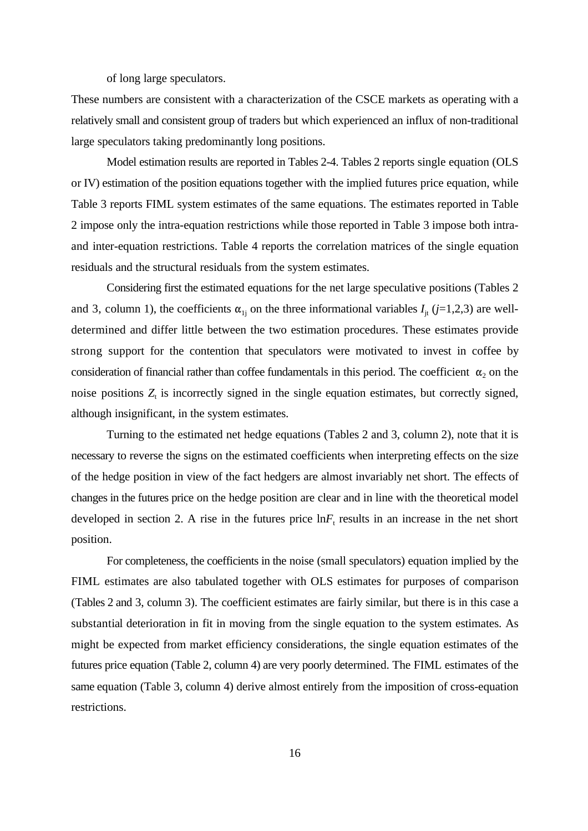of long large speculators.

These numbers are consistent with a characterization of the CSCE markets as operating with a relatively small and consistent group of traders but which experienced an influx of non-traditional large speculators taking predominantly long positions.

Model estimation results are reported in Tables 2-4. Tables 2 reports single equation (OLS or IV) estimation of the position equations together with the implied futures price equation, while Table 3 reports FIML system estimates of the same equations. The estimates reported in Table 2 impose only the intra-equation restrictions while those reported in Table 3 impose both intraand inter-equation restrictions. Table 4 reports the correlation matrices of the single equation residuals and the structural residuals from the system estimates.

Considering first the estimated equations for the net large speculative positions (Tables 2 and 3, column 1), the coefficients  $\alpha_{1i}$  on the three informational variables  $I_i$  ( $j=1,2,3$ ) are welldetermined and differ little between the two estimation procedures. These estimates provide strong support for the contention that speculators were motivated to invest in coffee by consideration of financial rather than coffee fundamentals in this period. The coefficient  $\alpha_2$  on the noise positions  $Z_t$  is incorrectly signed in the single equation estimates, but correctly signed, although insignificant, in the system estimates.

Turning to the estimated net hedge equations (Tables 2 and 3, column 2), note that it is necessary to reverse the signs on the estimated coefficients when interpreting effects on the size of the hedge position in view of the fact hedgers are almost invariably net short. The effects of changes in the futures price on the hedge position are clear and in line with the theoretical model developed in section 2. A rise in the futures price  $\ln F_t$  results in an increase in the net short position.

For completeness, the coefficients in the noise (small speculators) equation implied by the FIML estimates are also tabulated together with OLS estimates for purposes of comparison (Tables 2 and 3, column 3). The coefficient estimates are fairly similar, but there is in this case a substantial deterioration in fit in moving from the single equation to the system estimates. As might be expected from market efficiency considerations, the single equation estimates of the futures price equation (Table 2, column 4) are very poorly determined. The FIML estimates of the same equation (Table 3, column 4) derive almost entirely from the imposition of cross-equation restrictions.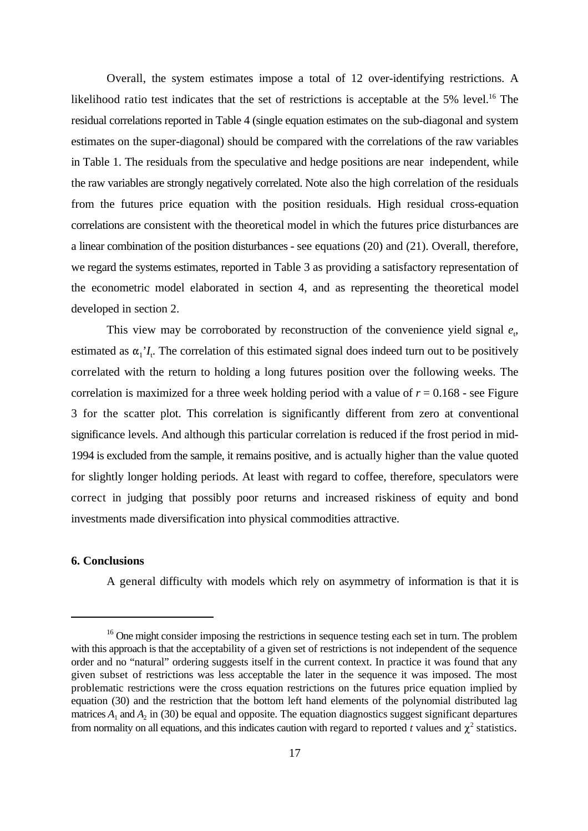Overall, the system estimates impose a total of 12 over-identifying restrictions. A likelihood ratio test indicates that the set of restrictions is acceptable at the  $5\%$  level.<sup>16</sup> The residual correlations reported in Table 4 (single equation estimates on the sub-diagonal and system estimates on the super-diagonal) should be compared with the correlations of the raw variables in Table 1. The residuals from the speculative and hedge positions are near independent, while the raw variables are strongly negatively correlated. Note also the high correlation of the residuals from the futures price equation with the position residuals. High residual cross-equation correlations are consistent with the theoretical model in which the futures price disturbances are a linear combination of the position disturbances - see equations (20) and (21). Overall, therefore, we regard the systems estimates, reported in Table 3 as providing a satisfactory representation of the econometric model elaborated in section 4, and as representing the theoretical model developed in section 2.

This view may be corroborated by reconstruction of the convenience yield signal  $e_t$ , estimated as  $\alpha_1$ <sup>'</sup> $I_t$ . The correlation of this estimated signal does indeed turn out to be positively correlated with the return to holding a long futures position over the following weeks. The correlation is maximized for a three week holding period with a value of  $r = 0.168$  - see Figure 3 for the scatter plot. This correlation is significantly different from zero at conventional significance levels. And although this particular correlation is reduced if the frost period in mid-1994 is excluded from the sample, it remains positive, and is actually higher than the value quoted for slightly longer holding periods. At least with regard to coffee, therefore, speculators were correct in judging that possibly poor returns and increased riskiness of equity and bond investments made diversification into physical commodities attractive.

## **6. Conclusions**

A general difficulty with models which rely on asymmetry of information is that it is

 $16$  One might consider imposing the restrictions in sequence testing each set in turn. The problem with this approach is that the acceptability of a given set of restrictions is not independent of the sequence order and no "natural" ordering suggests itself in the current context. In practice it was found that any given subset of restrictions was less acceptable the later in the sequence it was imposed. The most problematic restrictions were the cross equation restrictions on the futures price equation implied by equation (30) and the restriction that the bottom left hand elements of the polynomial distributed lag matrices  $A_1$  and  $A_2$  in (30) be equal and opposite. The equation diagnostics suggest significant departures from normality on all equations, and this indicates caution with regard to reported  $t$  values and  $\chi^2$  statistics.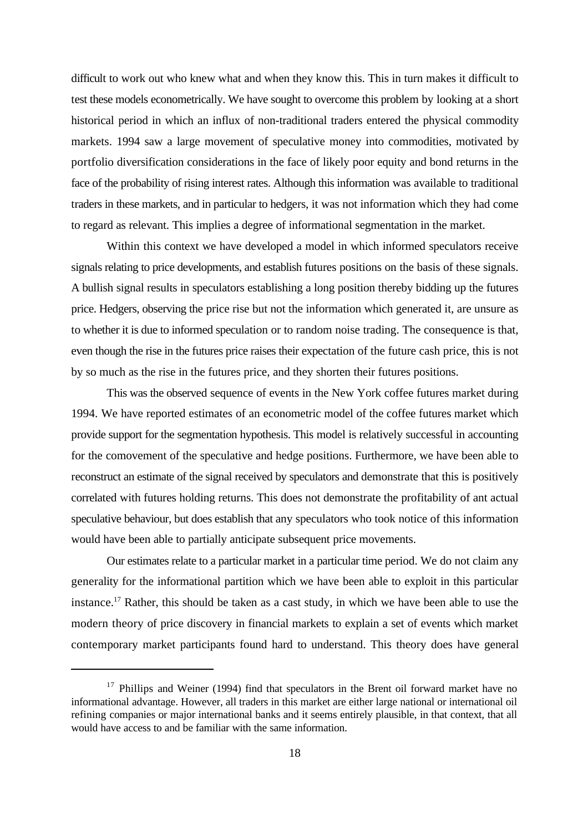difficult to work out who knew what and when they know this. This in turn makes it difficult to test these models econometrically. We have sought to overcome this problem by looking at a short historical period in which an influx of non-traditional traders entered the physical commodity markets. 1994 saw a large movement of speculative money into commodities, motivated by portfolio diversification considerations in the face of likely poor equity and bond returns in the face of the probability of rising interest rates. Although this information was available to traditional traders in these markets, and in particular to hedgers, it was not information which they had come to regard as relevant. This implies a degree of informational segmentation in the market.

Within this context we have developed a model in which informed speculators receive signals relating to price developments, and establish futures positions on the basis of these signals. A bullish signal results in speculators establishing a long position thereby bidding up the futures price. Hedgers, observing the price rise but not the information which generated it, are unsure as to whether it is due to informed speculation or to random noise trading. The consequence is that, even though the rise in the futures price raises their expectation of the future cash price, this is not by so much as the rise in the futures price, and they shorten their futures positions.

This was the observed sequence of events in the New York coffee futures market during 1994. We have reported estimates of an econometric model of the coffee futures market which provide support for the segmentation hypothesis. This model is relatively successful in accounting for the comovement of the speculative and hedge positions. Furthermore, we have been able to reconstruct an estimate of the signal received by speculators and demonstrate that this is positively correlated with futures holding returns. This does not demonstrate the profitability of ant actual speculative behaviour, but does establish that any speculators who took notice of this information would have been able to partially anticipate subsequent price movements.

Our estimates relate to a particular market in a particular time period. We do not claim any generality for the informational partition which we have been able to exploit in this particular instance.<sup>17</sup> Rather, this should be taken as a cast study, in which we have been able to use the modern theory of price discovery in financial markets to explain a set of events which market contemporary market participants found hard to understand. This theory does have general

 $17$  Phillips and Weiner (1994) find that speculators in the Brent oil forward market have no informational advantage. However, all traders in this market are either large national or international oil refining companies or major international banks and it seems entirely plausible, in that context, that all would have access to and be familiar with the same information.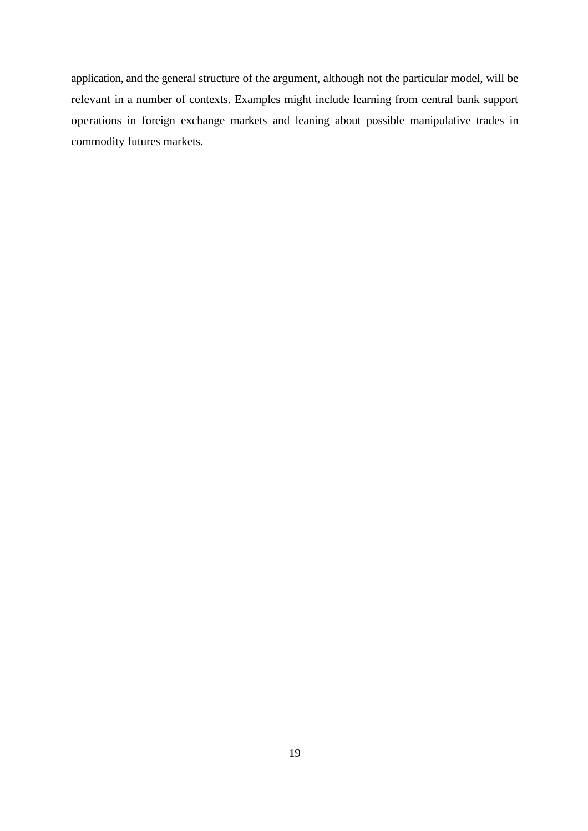application, and the general structure of the argument, although not the particular model, will be relevant in a number of contexts. Examples might include learning from central bank support operations in foreign exchange markets and leaning about possible manipulative trades in commodity futures markets.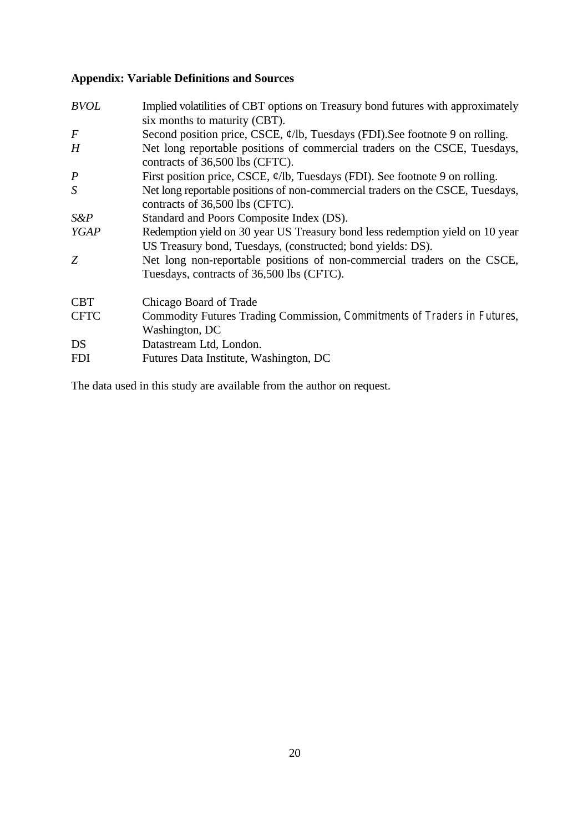# **Appendix: Variable Definitions and Sources**

| <b>BVOL</b>      | Implied volatilities of CBT options on Treasury bond futures with approximately<br>six months to maturity (CBT).                             |
|------------------|----------------------------------------------------------------------------------------------------------------------------------------------|
| $\boldsymbol{F}$ | Second position price, CSCE, $\varphi$ /lb, Tuesdays (FDI). See footnote 9 on rolling.                                                       |
| H                | Net long reportable positions of commercial traders on the CSCE, Tuesdays,<br>contracts of 36,500 lbs (CFTC).                                |
| $\boldsymbol{P}$ | First position price, CSCE, $\phi$ /lb, Tuesdays (FDI). See footnote 9 on rolling.                                                           |
| S                | Net long reportable positions of non-commercial traders on the CSCE, Tuesdays,<br>contracts of 36,500 lbs (CFTC).                            |
| $S\&P$           | Standard and Poors Composite Index (DS).                                                                                                     |
| <b>YGAP</b>      | Redemption yield on 30 year US Treasury bond less redemption yield on 10 year<br>US Treasury bond, Tuesdays, (constructed; bond yields: DS). |
| Z                | Net long non-reportable positions of non-commercial traders on the CSCE,<br>Tuesdays, contracts of 36,500 lbs (CFTC).                        |
| <b>CBT</b>       | Chicago Board of Trade                                                                                                                       |
| <b>CFTC</b>      | Commodity Futures Trading Commission, Commitments of Traders in Futures,<br>Washington, DC                                                   |
| DS               | Datastream Ltd, London.                                                                                                                      |
| <b>FDI</b>       | Futures Data Institute, Washington, DC                                                                                                       |

The data used in this study are available from the author on request.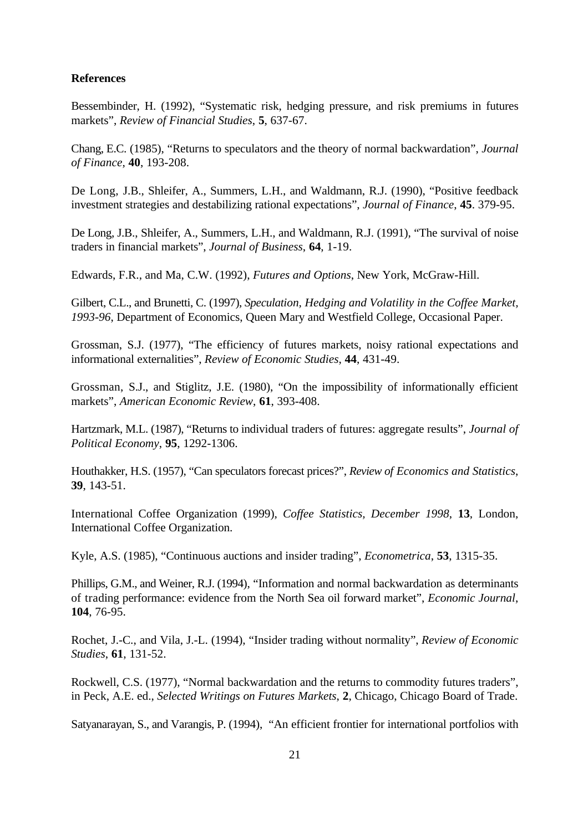#### **References**

Bessembinder, H. (1992), "Systematic risk, hedging pressure, and risk premiums in futures markets", *Review of Financial Studies*, **5**, 637-67.

Chang, E.C. (1985), "Returns to speculators and the theory of normal backwardation", *Journal of Finance*, **40**, 193-208.

De Long, J.B., Shleifer, A., Summers, L.H., and Waldmann, R.J. (1990), "Positive feedback investment strategies and destabilizing rational expectations", *Journal of Finance*, **45**. 379-95.

De Long, J.B., Shleifer, A., Summers, L.H., and Waldmann, R.J. (1991), "The survival of noise traders in financial markets", *Journal of Business*, **64**, 1-19.

Edwards, F.R., and Ma, C.W. (1992), *Futures and Options*, New York, McGraw-Hill.

Gilbert, C.L., and Brunetti, C. (1997), *Speculation, Hedging and Volatility in the Coffee Market, 1993-96*, Department of Economics, Queen Mary and Westfield College, Occasional Paper.

Grossman, S.J. (1977), "The efficiency of futures markets, noisy rational expectations and informational externalities", *Review of Economic Studies*, **44**, 431-49.

Grossman, S.J., and Stiglitz, J.E. (1980), "On the impossibility of informationally efficient markets", *American Economic Review*, **61**, 393-408.

Hartzmark, M.L. (1987), "Returns to individual traders of futures: aggregate results", *Journal of Political Economy*, **95**, 1292-1306.

Houthakker, H.S. (1957), "Can speculators forecast prices?", *Review of Economics and Statistics*, **39**, 143-51.

International Coffee Organization (1999), *Coffee Statistics, December 1998*, **13**, London, International Coffee Organization.

Kyle, A.S. (1985), "Continuous auctions and insider trading", *Econometrica*, **53**, 1315-35.

Phillips, G.M., and Weiner, R.J. (1994), "Information and normal backwardation as determinants of trading performance: evidence from the North Sea oil forward market", *Economic Journal*, **104**, 76-95.

Rochet, J.-C., and Vila, J.-L. (1994), "Insider trading without normality", *Review of Economic Studies*, **61**, 131-52.

Rockwell, C.S. (1977), "Normal backwardation and the returns to commodity futures traders", in Peck, A.E. ed., *Selected Writings on Futures Markets*, **2**, Chicago, Chicago Board of Trade.

Satyanarayan, S., and Varangis, P. (1994), "An efficient frontier for international portfolios with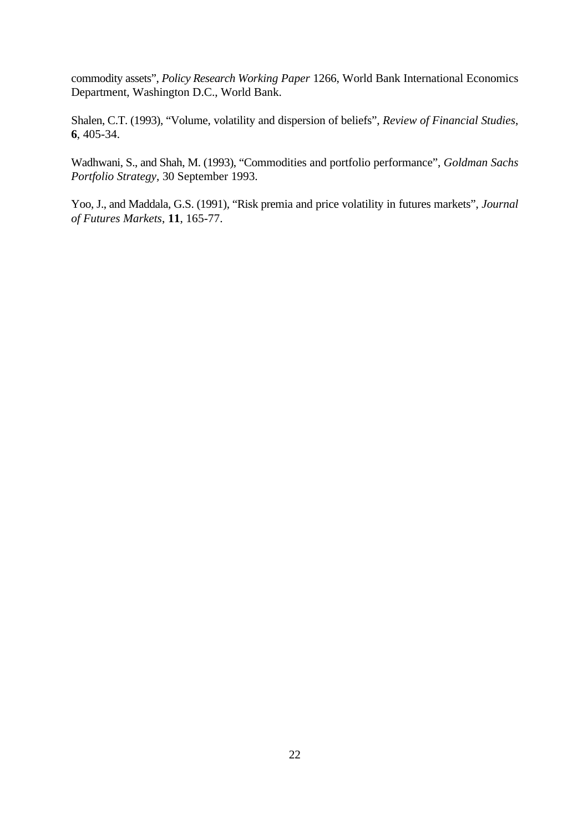commodity assets", *Policy Research Working Paper* 1266, World Bank International Economics Department, Washington D.C., World Bank.

Shalen, C.T. (1993), "Volume, volatility and dispersion of beliefs", *Review of Financial Studies*, **6**, 405-34.

Wadhwani, S., and Shah, M. (1993), "Commodities and portfolio performance", *Goldman Sachs Portfolio Strategy*, 30 September 1993.

Yoo, J., and Maddala, G.S. (1991), "Risk premia and price volatility in futures markets", *Journal of Futures Markets*, **11**, 165-77.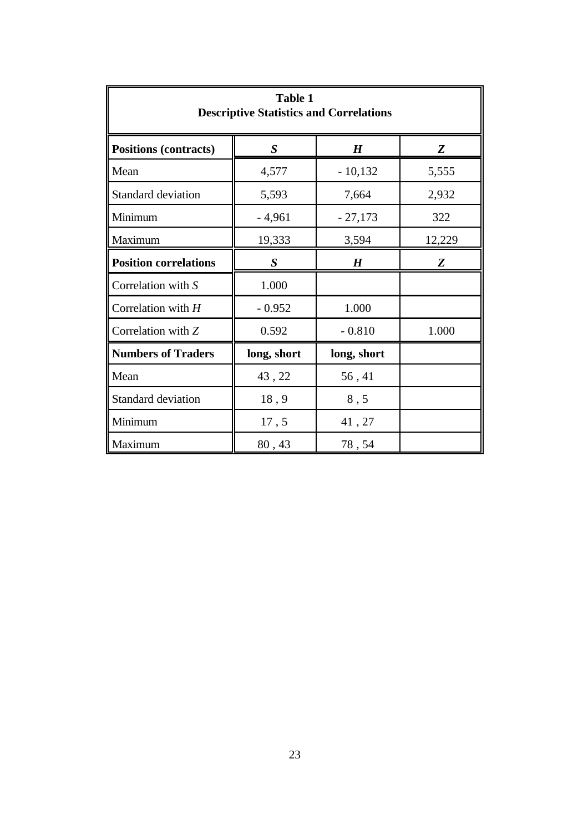| <b>Table 1</b><br><b>Descriptive Statistics and Correlations</b> |                  |                  |        |  |  |
|------------------------------------------------------------------|------------------|------------------|--------|--|--|
| <b>Positions (contracts)</b>                                     | S                | $\boldsymbol{H}$ | Z      |  |  |
| Mean                                                             | 4,577            | $-10,132$        | 5,555  |  |  |
| Standard deviation                                               | 5,593<br>7,664   |                  | 2,932  |  |  |
| Minimum                                                          | $-4,961$         | $-27,173$        | 322    |  |  |
| Maximum                                                          | 19,333           | 3,594            | 12,229 |  |  |
| <b>Position correlations</b>                                     | $\boldsymbol{S}$ | H                | Z      |  |  |
| Correlation with S                                               | 1.000            |                  |        |  |  |
| Correlation with H                                               | $-0.952$         | 1.000            |        |  |  |
| Correlation with Z                                               | 0.592            | $-0.810$         | 1.000  |  |  |
| <b>Numbers of Traders</b>                                        | long, short      | long, short      |        |  |  |
| Mean                                                             | 43, 22           | 56,41            |        |  |  |
| Standard deviation                                               | 18,9             | 8, 5             |        |  |  |
| Minimum                                                          | 17,5             | 41, 27           |        |  |  |
| Maximum                                                          | 80,43            | 78,54            |        |  |  |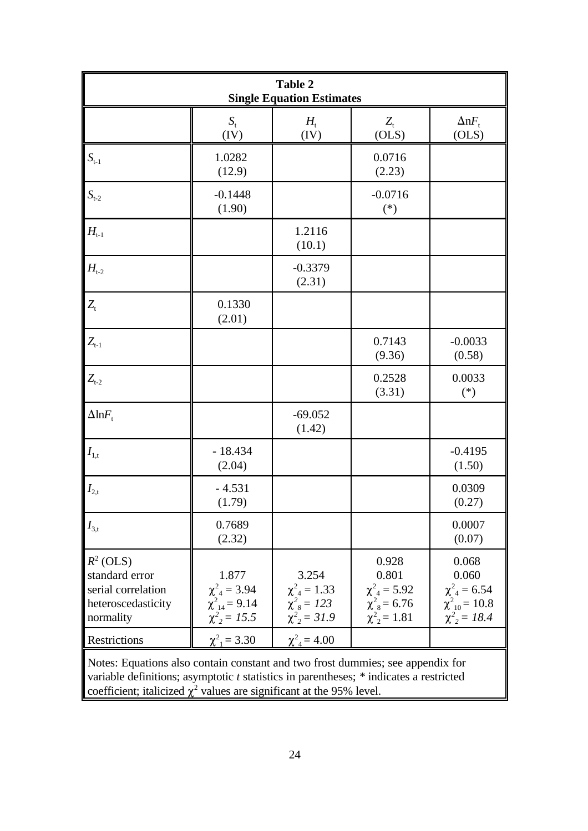| <b>Table 2</b><br><b>Single Equation Estimates</b>                                                                                                                                                                                                        |                                                                             |                                                                           |                                                                                         |                                                                                      |  |
|-----------------------------------------------------------------------------------------------------------------------------------------------------------------------------------------------------------------------------------------------------------|-----------------------------------------------------------------------------|---------------------------------------------------------------------------|-----------------------------------------------------------------------------------------|--------------------------------------------------------------------------------------|--|
|                                                                                                                                                                                                                                                           | $S_{t}$<br>(IV)                                                             | $H_{\scriptscriptstyle\rm f}$<br>(IV)                                     | $Z_{t}$<br>(OLS)                                                                        | $\Delta$ n $F_{\rm t}$<br>(OLS)                                                      |  |
| $S_{t-1}$                                                                                                                                                                                                                                                 | 1.0282<br>(12.9)                                                            |                                                                           | 0.0716<br>(2.23)                                                                        |                                                                                      |  |
| $S_{t-2}$                                                                                                                                                                                                                                                 | $-0.1448$<br>(1.90)                                                         |                                                                           | $-0.0716$<br>$(*)$                                                                      |                                                                                      |  |
| $H_{t-1}$                                                                                                                                                                                                                                                 |                                                                             | 1.2116<br>(10.1)                                                          |                                                                                         |                                                                                      |  |
| $H_{t-2}$                                                                                                                                                                                                                                                 |                                                                             | $-0.3379$<br>(2.31)                                                       |                                                                                         |                                                                                      |  |
| $Z_{t}$                                                                                                                                                                                                                                                   | 0.1330<br>(2.01)                                                            |                                                                           |                                                                                         |                                                                                      |  |
| $Z_{t-1}$                                                                                                                                                                                                                                                 |                                                                             |                                                                           | 0.7143<br>(9.36)                                                                        | $-0.0033$<br>(0.58)                                                                  |  |
| $Z_{t-2}$                                                                                                                                                                                                                                                 |                                                                             |                                                                           | 0.2528<br>(3.31)                                                                        | 0.0033<br>$(*)$                                                                      |  |
| $\Delta$ ln $F_{\rm t}$                                                                                                                                                                                                                                   |                                                                             | $-69.052$<br>(1.42)                                                       |                                                                                         |                                                                                      |  |
| $I_{1,t}$                                                                                                                                                                                                                                                 | $-18.434$<br>(2.04)                                                         |                                                                           |                                                                                         | $-0.4195$<br>(1.50)                                                                  |  |
| $I_{2,t}$                                                                                                                                                                                                                                                 | $-4.531$<br>(1.79)                                                          |                                                                           |                                                                                         | 0.0309<br>(0.27)                                                                     |  |
| $I_{3,t}$                                                                                                                                                                                                                                                 | 0.7689<br>(2.32)                                                            |                                                                           |                                                                                         | 0.0007<br>(0.07)                                                                     |  |
| $R^2$ (OLS)<br>standard error<br>serial correlation<br>heteroscedasticity<br>normality                                                                                                                                                                    | 1.877<br>$\chi^2_{4} = 3.94$<br>$\chi^2_{14} = 9.14$<br>$\chi^2_{2} = 15.5$ | 3.254<br>$\chi^2_{4} = 1.33$<br>$\chi^2_{8} = 123$<br>$\chi^2_{2} = 31.9$ | 0.928<br>0.801<br>$\chi^2_{4} = 5.92$<br>$\chi^2_{\rm s} = 6.76$<br>$\chi^2_{2} = 1.81$ | 0.068<br>0.060<br>$\chi^2_{4} = 6.54$<br>$\chi^2_{10}$ = 10.8<br>$\chi^2_{2} = 18.4$ |  |
| Restrictions                                                                                                                                                                                                                                              | $\chi^2_{1} = 3.30$                                                         | $\chi^2_{4} = 4.00$                                                       |                                                                                         |                                                                                      |  |
| Notes: Equations also contain constant and two frost dummies; see appendix for<br>variable definitions; asymptotic $t$ statistics in parentheses; $*$ indicates a restricted<br>coefficient; italicized $\chi^2$ values are significant at the 95% level. |                                                                             |                                                                           |                                                                                         |                                                                                      |  |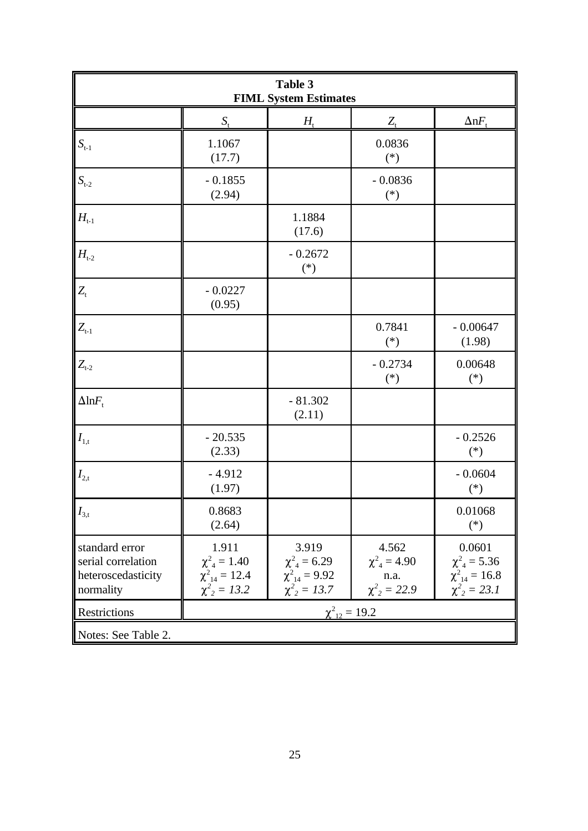| Table 3<br><b>FIML System Estimates</b>                                 |                                                                             |                                                                             |                                                             |                                                                              |  |
|-------------------------------------------------------------------------|-----------------------------------------------------------------------------|-----------------------------------------------------------------------------|-------------------------------------------------------------|------------------------------------------------------------------------------|--|
|                                                                         | $S_{\rm t}$                                                                 | $H_{\rm t}$                                                                 | $Z_{t}$                                                     | $\Delta$ n $F_{\rm t}$                                                       |  |
| $S_{t-1}$                                                               | 1.1067<br>(17.7)                                                            |                                                                             | 0.0836<br>$(*)$                                             |                                                                              |  |
| $S_{t-2}$                                                               | $-0.1855$<br>(2.94)                                                         |                                                                             | $-0.0836$<br>$(*)$                                          |                                                                              |  |
| $H_{t-1}$                                                               |                                                                             | 1.1884<br>(17.6)                                                            |                                                             |                                                                              |  |
| $H_{t-2}$                                                               |                                                                             | $-0.2672$<br>$(\ast)$                                                       |                                                             |                                                                              |  |
| $Z_{t}$                                                                 | $-0.0227$<br>(0.95)                                                         |                                                                             |                                                             |                                                                              |  |
| $Z_{t-1}$                                                               |                                                                             |                                                                             | 0.7841<br>$(*)$                                             | $-0.00647$<br>(1.98)                                                         |  |
| $Z_{t-2}$                                                               |                                                                             |                                                                             | $-0.2734$<br>$(*)$                                          | 0.00648<br>$(*)$                                                             |  |
| $\Delta$ ln $F_{\rm t}$                                                 |                                                                             | $-81.302$<br>(2.11)                                                         |                                                             |                                                                              |  |
| $I_{1,t}$                                                               | $-20.535$<br>(2.33)                                                         |                                                                             |                                                             | $-0.2526$<br>$(*)$                                                           |  |
| $I_{2,t}$                                                               | $-4.912$<br>(1.97)                                                          |                                                                             |                                                             | $-0.0604$<br>$(*)$                                                           |  |
| $I_{3,t}$                                                               | 0.8683<br>(2.64)                                                            |                                                                             |                                                             | 0.01068<br>$(*)$                                                             |  |
| standard error<br>serial correlation<br>heteroscedasticity<br>normality | 1.911<br>$\chi^2_{4} = 1.40$<br>$\chi^2_{14} = 12.4$<br>$\chi^2_{2} = 13.2$ | 3.919<br>$\chi^2_{4} = 6.29$<br>$\chi^2_{14} = 9.92$<br>$\chi^2_{2} = 13.7$ | 4.562<br>$\chi^2_{4} = 4.90$<br>n.a.<br>$\chi^2_{2} = 22.9$ | 0.0601<br>$\chi^2_{4} = 5.36$<br>$\chi^2_{14} = 16.8$<br>$\chi^2_{2} = 23.1$ |  |
| Restrictions                                                            | $\chi^2_{12} = 19.2$                                                        |                                                                             |                                                             |                                                                              |  |
| Notes: See Table 2.                                                     |                                                                             |                                                                             |                                                             |                                                                              |  |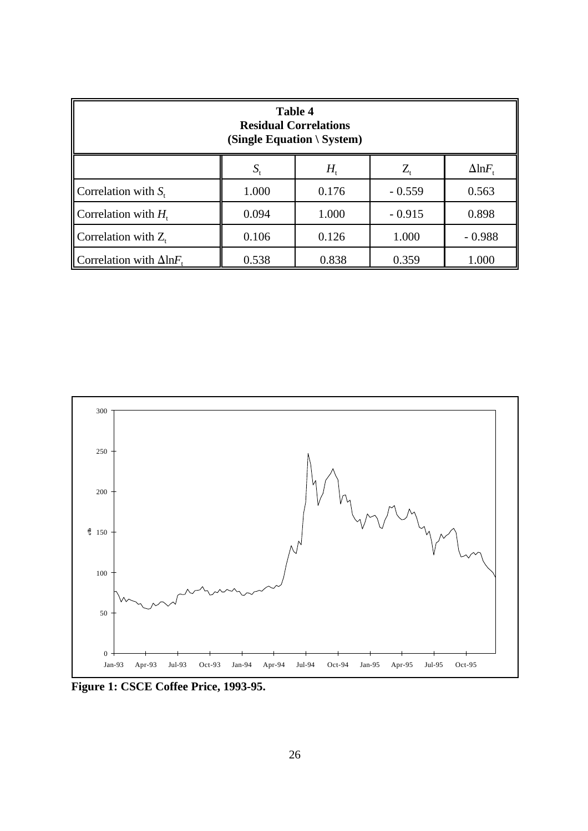| <b>Table 4</b><br><b>Residual Correlations</b><br>(Single Equation \ System) |             |                               |                                |                         |  |
|------------------------------------------------------------------------------|-------------|-------------------------------|--------------------------------|-------------------------|--|
|                                                                              | $S_{\rm t}$ | $H_{\scriptscriptstyle\rm f}$ | $Z_{\scriptscriptstyle \rm t}$ | $\Delta$ ln $F_{\rm t}$ |  |
| Correlation with $S_t$                                                       | 1.000       | 0.176                         | $-0.559$                       | 0.563                   |  |
| Correlation with $H_t$                                                       | 0.094       | 1.000                         | $-0.915$                       | 0.898                   |  |
| Correlation with $Z_t$                                                       | 0.106       | 0.126                         | 1.000                          | $-0.988$                |  |
| Correlation with $\Delta$ lnF.<br>0.538<br>0.838<br>0.359                    |             |                               |                                | 1.000                   |  |



**Figure 1: CSCE Coffee Price, 1993-95.**